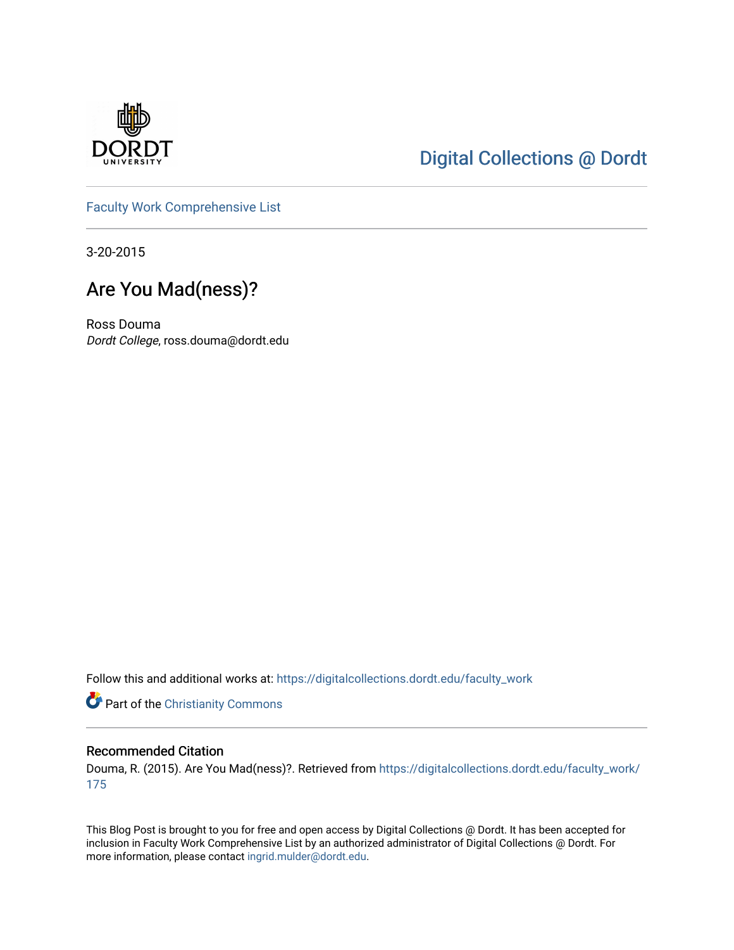

## [Digital Collections @ Dordt](https://digitalcollections.dordt.edu/)

[Faculty Work Comprehensive List](https://digitalcollections.dordt.edu/faculty_work)

3-20-2015

## Are You Mad(ness)?

Ross Douma Dordt College, ross.douma@dordt.edu

Follow this and additional works at: [https://digitalcollections.dordt.edu/faculty\\_work](https://digitalcollections.dordt.edu/faculty_work?utm_source=digitalcollections.dordt.edu%2Ffaculty_work%2F175&utm_medium=PDF&utm_campaign=PDFCoverPages) 

Part of the [Christianity Commons](http://network.bepress.com/hgg/discipline/1181?utm_source=digitalcollections.dordt.edu%2Ffaculty_work%2F175&utm_medium=PDF&utm_campaign=PDFCoverPages) 

#### Recommended Citation

Douma, R. (2015). Are You Mad(ness)?. Retrieved from [https://digitalcollections.dordt.edu/faculty\\_work/](https://digitalcollections.dordt.edu/faculty_work/175?utm_source=digitalcollections.dordt.edu%2Ffaculty_work%2F175&utm_medium=PDF&utm_campaign=PDFCoverPages) [175](https://digitalcollections.dordt.edu/faculty_work/175?utm_source=digitalcollections.dordt.edu%2Ffaculty_work%2F175&utm_medium=PDF&utm_campaign=PDFCoverPages) 

This Blog Post is brought to you for free and open access by Digital Collections @ Dordt. It has been accepted for inclusion in Faculty Work Comprehensive List by an authorized administrator of Digital Collections @ Dordt. For more information, please contact [ingrid.mulder@dordt.edu.](mailto:ingrid.mulder@dordt.edu)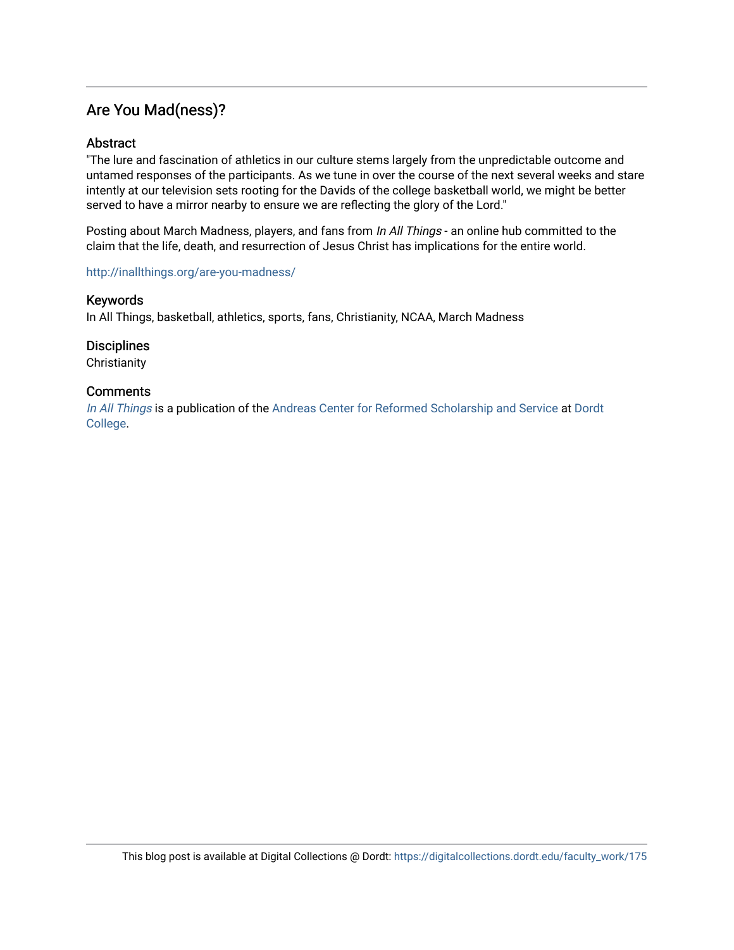### Are You Mad(ness)?

#### **Abstract**

"The lure and fascination of athletics in our culture stems largely from the unpredictable outcome and untamed responses of the participants. As we tune in over the course of the next several weeks and stare intently at our television sets rooting for the Davids of the college basketball world, we might be better served to have a mirror nearby to ensure we are reflecting the glory of the Lord."

Posting about March Madness, players, and fans from In All Things - an online hub committed to the claim that the life, death, and resurrection of Jesus Christ has implications for the entire world.

#### <http://inallthings.org/are-you-madness/>

#### Keywords

In All Things, basketball, athletics, sports, fans, Christianity, NCAA, March Madness

**Disciplines** 

**Christianity** 

#### **Comments**

[In All Things](http://inallthings.org/) is a publication of the [Andreas Center for Reformed Scholarship and Service](http://www.dordt.edu/services_support/andreas_center/) at Dordt [College](http://www.dordt.edu/).